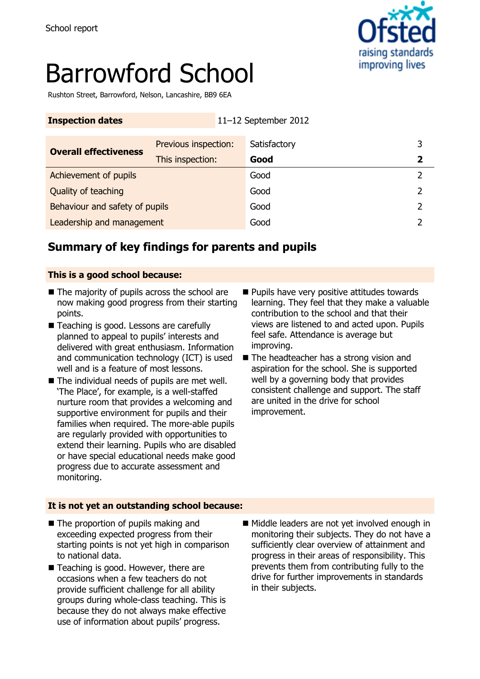

# Barrowford School

Rushton Street, Barrowford, Nelson, Lancashire, BB9 6EA

| <b>Inspection dates</b>        | 11-12 September 2012 |              |   |
|--------------------------------|----------------------|--------------|---|
| <b>Overall effectiveness</b>   | Previous inspection: | Satisfactory |   |
|                                | This inspection:     | Good         | 2 |
| Achievement of pupils          |                      | Good         |   |
| Quality of teaching            |                      | Good         | 2 |
| Behaviour and safety of pupils |                      | Good         |   |
| Leadership and management      |                      | Good         |   |

## **Summary of key findings for parents and pupils**

#### **This is a good school because:**

- The majority of pupils across the school are now making good progress from their starting points.
- Teaching is good. Lessons are carefully planned to appeal to pupils' interests and delivered with great enthusiasm. Information and communication technology (ICT) is used well and is a feature of most lessons.
- The individual needs of pupils are met well. 'The Place', for example, is a well-staffed nurture room that provides a welcoming and supportive environment for pupils and their families when required. The more-able pupils are regularly provided with opportunities to extend their learning. Pupils who are disabled or have special educational needs make good progress due to accurate assessment and monitoring.
- **Pupils have very positive attitudes towards** learning. They feel that they make a valuable contribution to the school and that their views are listened to and acted upon. Pupils feel safe. Attendance is average but improving.
- The headteacher has a strong vision and aspiration for the school. She is supported well by a governing body that provides consistent challenge and support. The staff are united in the drive for school improvement.

#### **It is not yet an outstanding school because:**

- The proportion of pupils making and exceeding expected progress from their starting points is not yet high in comparison to national data.
- Teaching is good. However, there are occasions when a few teachers do not provide sufficient challenge for all ability groups during whole-class teaching. This is because they do not always make effective use of information about pupils' progress.
- Middle leaders are not yet involved enough in monitoring their subjects. They do not have a sufficiently clear overview of attainment and progress in their areas of responsibility. This prevents them from contributing fully to the drive for further improvements in standards in their subjects.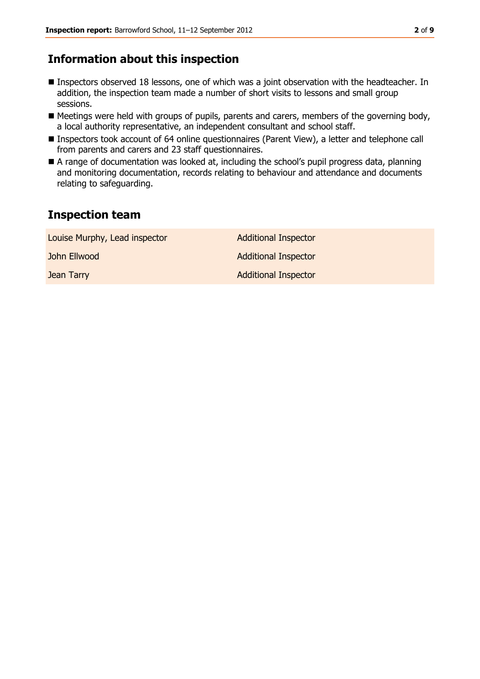## **Information about this inspection**

- Inspectors observed 18 lessons, one of which was a joint observation with the headteacher. In addition, the inspection team made a number of short visits to lessons and small group sessions.
- Meetings were held with groups of pupils, parents and carers, members of the governing body, a local authority representative, an independent consultant and school staff.
- Inspectors took account of 64 online questionnaires (Parent View), a letter and telephone call from parents and carers and 23 staff questionnaires.
- A range of documentation was looked at, including the school's pupil progress data, planning and monitoring documentation, records relating to behaviour and attendance and documents relating to safeguarding.

## **Inspection team**

| Louise Murphy, Lead inspector | <b>Additional Inspector</b> |
|-------------------------------|-----------------------------|
| John Ellwood                  | <b>Additional Inspector</b> |
| Jean Tarry                    | <b>Additional Inspector</b> |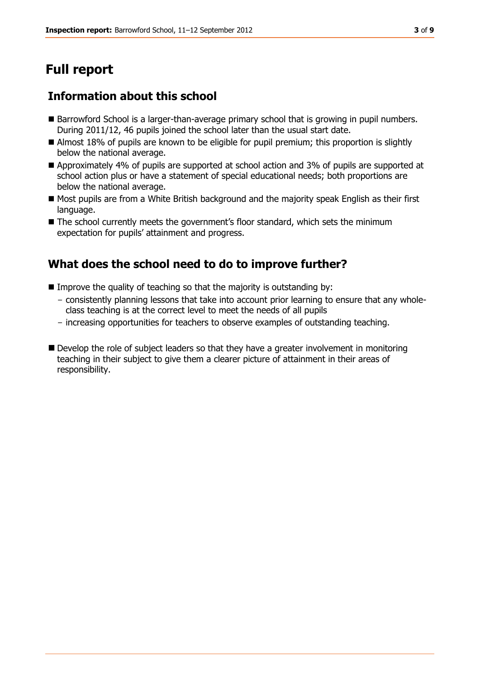# **Full report**

## **Information about this school**

- Barrowford School is a larger-than-average primary school that is growing in pupil numbers. During 2011/12, 46 pupils joined the school later than the usual start date.
- Almost 18% of pupils are known to be eligible for pupil premium; this proportion is slightly below the national average.
- Approximately 4% of pupils are supported at school action and 3% of pupils are supported at school action plus or have a statement of special educational needs; both proportions are below the national average.
- Most pupils are from a White British background and the majority speak English as their first language.
- The school currently meets the government's floor standard, which sets the minimum expectation for pupils' attainment and progress.

## **What does the school need to do to improve further?**

- Improve the quality of teaching so that the majority is outstanding by:
	- consistently planning lessons that take into account prior learning to ensure that any wholeclass teaching is at the correct level to meet the needs of all pupils
	- increasing opportunities for teachers to observe examples of outstanding teaching.
- Develop the role of subject leaders so that they have a greater involvement in monitoring teaching in their subject to give them a clearer picture of attainment in their areas of responsibility.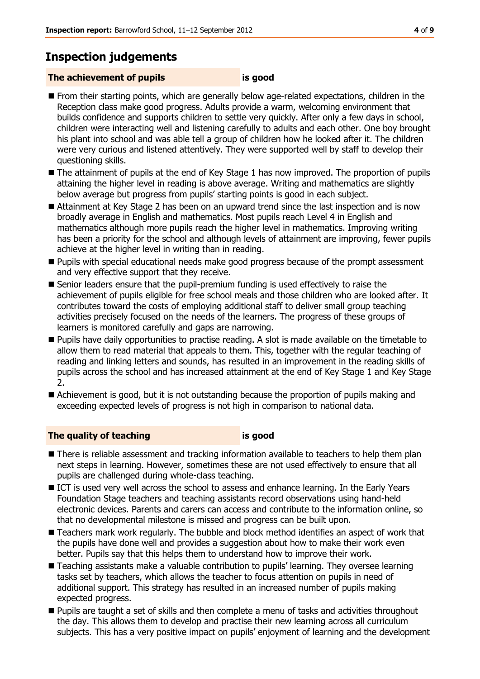## **Inspection judgements**

### **The achievement of pupils is good**

- **From their starting points, which are generally below age-related expectations, children in the** Reception class make good progress. Adults provide a warm, welcoming environment that builds confidence and supports children to settle very quickly. After only a few days in school, children were interacting well and listening carefully to adults and each other. One boy brought his plant into school and was able tell a group of children how he looked after it. The children were very curious and listened attentively. They were supported well by staff to develop their questioning skills.
- The attainment of pupils at the end of Key Stage 1 has now improved. The proportion of pupils attaining the higher level in reading is above average. Writing and mathematics are slightly below average but progress from pupils' starting points is good in each subject.
- Attainment at Key Stage 2 has been on an upward trend since the last inspection and is now broadly average in English and mathematics. Most pupils reach Level 4 in English and mathematics although more pupils reach the higher level in mathematics. Improving writing has been a priority for the school and although levels of attainment are improving, fewer pupils achieve at the higher level in writing than in reading.
- **Pupils with special educational needs make good progress because of the prompt assessment** and very effective support that they receive.
- Senior leaders ensure that the pupil-premium funding is used effectively to raise the achievement of pupils eligible for free school meals and those children who are looked after. It contributes toward the costs of employing additional staff to deliver small group teaching activities precisely focused on the needs of the learners. The progress of these groups of learners is monitored carefully and gaps are narrowing.
- **Pupils have daily opportunities to practise reading. A slot is made available on the timetable to** allow them to read material that appeals to them. This, together with the regular teaching of reading and linking letters and sounds, has resulted in an improvement in the reading skills of pupils across the school and has increased attainment at the end of Key Stage 1 and Key Stage 2.
- Achievement is good, but it is not outstanding because the proportion of pupils making and exceeding expected levels of progress is not high in comparison to national data.

#### **The quality of teaching is good**

- There is reliable assessment and tracking information available to teachers to help them plan next steps in learning. However, sometimes these are not used effectively to ensure that all pupils are challenged during whole-class teaching.
- ICT is used very well across the school to assess and enhance learning. In the Early Years Foundation Stage teachers and teaching assistants record observations using hand-held electronic devices. Parents and carers can access and contribute to the information online, so that no developmental milestone is missed and progress can be built upon.
- Teachers mark work regularly. The bubble and block method identifies an aspect of work that the pupils have done well and provides a suggestion about how to make their work even better. Pupils say that this helps them to understand how to improve their work.
- Teaching assistants make a valuable contribution to pupils' learning. They oversee learning tasks set by teachers, which allows the teacher to focus attention on pupils in need of additional support. This strategy has resulted in an increased number of pupils making expected progress.
- **Pupils are taught a set of skills and then complete a menu of tasks and activities throughout** the day. This allows them to develop and practise their new learning across all curriculum subjects. This has a very positive impact on pupils' enjoyment of learning and the development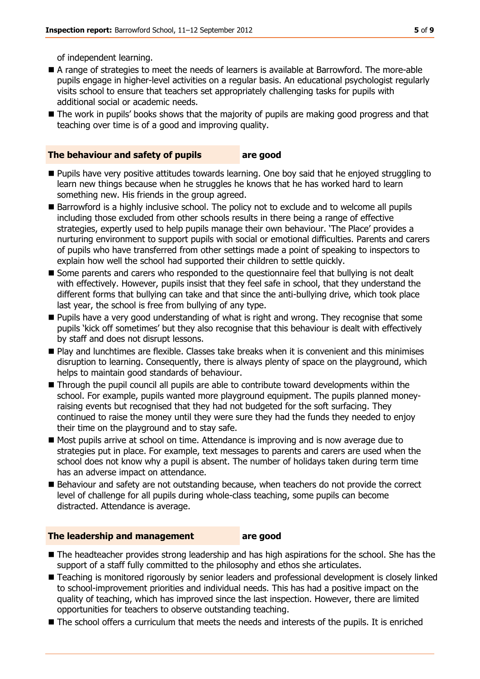of independent learning.

- A range of strategies to meet the needs of learners is available at Barrowford. The more-able pupils engage in higher-level activities on a regular basis. An educational psychologist regularly visits school to ensure that teachers set appropriately challenging tasks for pupils with additional social or academic needs.
- The work in pupils' books shows that the majority of pupils are making good progress and that teaching over time is of a good and improving quality.

#### **The behaviour and safety of pupils are good**

- Pupils have very positive attitudes towards learning. One boy said that he enjoyed struggling to learn new things because when he struggles he knows that he has worked hard to learn something new. His friends in the group agreed.
- Barrowford is a highly inclusive school. The policy not to exclude and to welcome all pupils including those excluded from other schools results in there being a range of effective strategies, expertly used to help pupils manage their own behaviour. 'The Place' provides a nurturing environment to support pupils with social or emotional difficulties. Parents and carers of pupils who have transferred from other settings made a point of speaking to inspectors to explain how well the school had supported their children to settle quickly.
- Some parents and carers who responded to the questionnaire feel that bullying is not dealt with effectively. However, pupils insist that they feel safe in school, that they understand the different forms that bullying can take and that since the anti-bullying drive, which took place last year, the school is free from bullying of any type.
- **Pupils have a very good understanding of what is right and wrong. They recognise that some** pupils 'kick off sometimes' but they also recognise that this behaviour is dealt with effectively by staff and does not disrupt lessons.
- Play and lunchtimes are flexible. Classes take breaks when it is convenient and this minimises disruption to learning. Consequently, there is always plenty of space on the playground, which helps to maintain good standards of behaviour.
- Through the pupil council all pupils are able to contribute toward developments within the school. For example, pupils wanted more playground equipment. The pupils planned moneyraising events but recognised that they had not budgeted for the soft surfacing. They continued to raise the money until they were sure they had the funds they needed to enjoy their time on the playground and to stay safe.
- Most pupils arrive at school on time. Attendance is improving and is now average due to strategies put in place. For example, text messages to parents and carers are used when the school does not know why a pupil is absent. The number of holidays taken during term time has an adverse impact on attendance.
- Behaviour and safety are not outstanding because, when teachers do not provide the correct level of challenge for all pupils during whole-class teaching, some pupils can become distracted. Attendance is average.

#### **The leadership and management are good**

- The headteacher provides strong leadership and has high aspirations for the school. She has the support of a staff fully committed to the philosophy and ethos she articulates.
- Teaching is monitored rigorously by senior leaders and professional development is closely linked to school-improvement priorities and individual needs. This has had a positive impact on the quality of teaching, which has improved since the last inspection. However, there are limited opportunities for teachers to observe outstanding teaching.
- The school offers a curriculum that meets the needs and interests of the pupils. It is enriched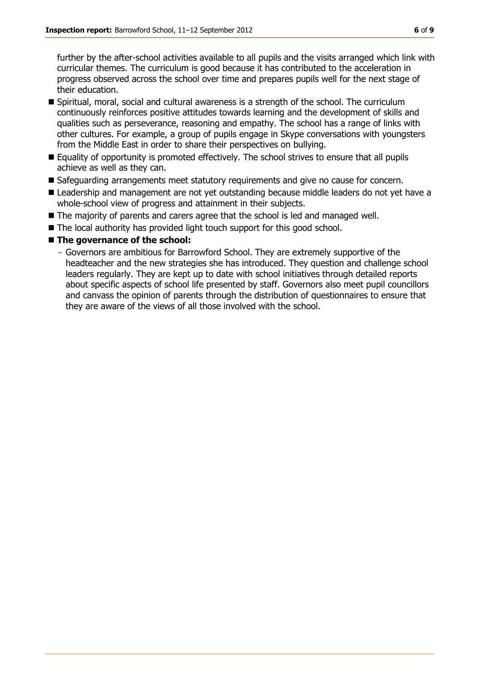further by the after-school activities available to all pupils and the visits arranged which link with curricular themes. The curriculum is good because it has contributed to the acceleration in progress observed across the school over time and prepares pupils well for the next stage of their education.

- Spiritual, moral, social and cultural awareness is a strength of the school. The curriculum continuously reinforces positive attitudes towards learning and the development of skills and qualities such as perseverance, reasoning and empathy. The school has a range of links with other cultures. For example, a group of pupils engage in Skype conversations with youngsters from the Middle East in order to share their perspectives on bullying.
- Equality of opportunity is promoted effectively. The school strives to ensure that all pupils achieve as well as they can.
- Safeguarding arrangements meet statutory requirements and give no cause for concern.
- **E** Leadership and management are not yet outstanding because middle leaders do not yet have a whole-school view of progress and attainment in their subjects.
- The majority of parents and carers agree that the school is led and managed well.
- The local authority has provided light touch support for this good school.

#### ■ The governance of the school:

- Governors are ambitious for Barrowford School. They are extremely supportive of the headteacher and the new strategies she has introduced. They question and challenge school leaders regularly. They are kept up to date with school initiatives through detailed reports about specific aspects of school life presented by staff. Governors also meet pupil councillors and canvass the opinion of parents through the distribution of questionnaires to ensure that they are aware of the views of all those involved with the school.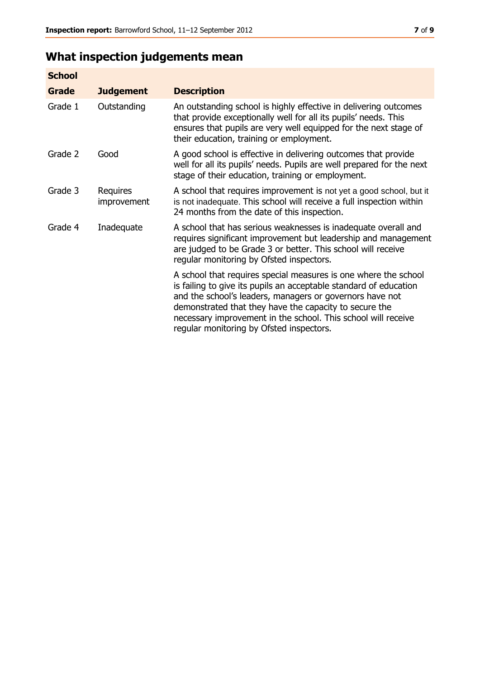## **What inspection judgements mean**

| <b>School</b> |                         |                                                                                                                                                                                                                                                                                                                                                                         |
|---------------|-------------------------|-------------------------------------------------------------------------------------------------------------------------------------------------------------------------------------------------------------------------------------------------------------------------------------------------------------------------------------------------------------------------|
| Grade         | <b>Judgement</b>        | <b>Description</b>                                                                                                                                                                                                                                                                                                                                                      |
| Grade 1       | Outstanding             | An outstanding school is highly effective in delivering outcomes<br>that provide exceptionally well for all its pupils' needs. This<br>ensures that pupils are very well equipped for the next stage of<br>their education, training or employment.                                                                                                                     |
| Grade 2       | Good                    | A good school is effective in delivering outcomes that provide<br>well for all its pupils' needs. Pupils are well prepared for the next<br>stage of their education, training or employment.                                                                                                                                                                            |
| Grade 3       | Requires<br>improvement | A school that requires improvement is not yet a good school, but it<br>is not inadequate. This school will receive a full inspection within<br>24 months from the date of this inspection.                                                                                                                                                                              |
| Grade 4       | Inadequate              | A school that has serious weaknesses is inadequate overall and<br>requires significant improvement but leadership and management<br>are judged to be Grade 3 or better. This school will receive<br>regular monitoring by Ofsted inspectors.                                                                                                                            |
|               |                         | A school that requires special measures is one where the school<br>is failing to give its pupils an acceptable standard of education<br>and the school's leaders, managers or governors have not<br>demonstrated that they have the capacity to secure the<br>necessary improvement in the school. This school will receive<br>regular monitoring by Ofsted inspectors. |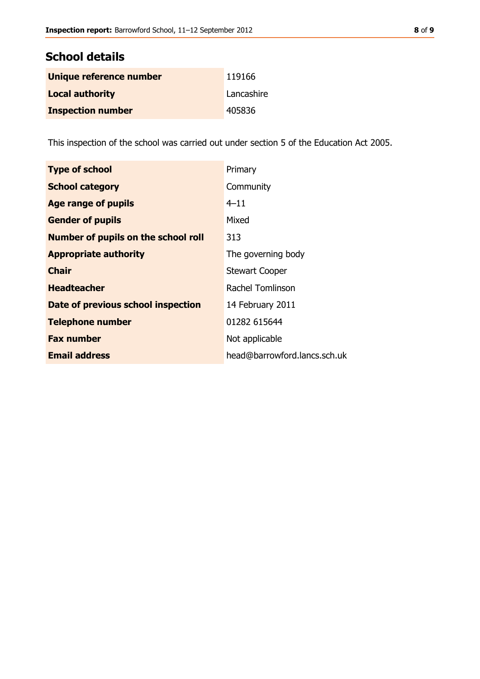| Unique reference number  | 119166     |
|--------------------------|------------|
| <b>Local authority</b>   | Lancashire |
| <b>Inspection number</b> | 405836     |

This inspection of the school was carried out under section 5 of the Education Act 2005.

| <b>Type of school</b>                      | Primary                      |
|--------------------------------------------|------------------------------|
| <b>School category</b>                     | Community                    |
| Age range of pupils                        | $4 - 11$                     |
| <b>Gender of pupils</b>                    | Mixed                        |
| <b>Number of pupils on the school roll</b> | 313                          |
| <b>Appropriate authority</b>               | The governing body           |
| <b>Chair</b>                               | <b>Stewart Cooper</b>        |
| <b>Headteacher</b>                         | Rachel Tomlinson             |
| Date of previous school inspection         | 14 February 2011             |
| <b>Telephone number</b>                    | 01282 615644                 |
| <b>Fax number</b>                          | Not applicable               |
| <b>Email address</b>                       | head@barrowford.lancs.sch.uk |